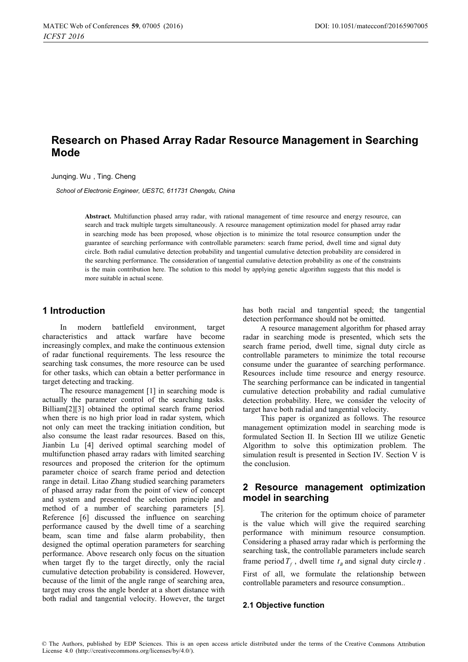# **Research on Phased Array Radar Resource Management in Searching Mode**

Junqing. Wu , Ting. Cheng

*School of Electronic Engineer, UESTC, 611731 Chengdu, China* 

**Abstract.** Multifunction phased array radar, with rational management of time resource and energy resource, can search and track multiple targets simultaneously. A resource management optimization model for phased array radar in searching mode has been proposed, whose objection is to minimize the total resource consumption under the guarantee of searching performance with controllable parameters: search frame period, dwell time and signal duty circle. Both radial cumulative detection probability and tangential cumulative detection probability are considered in the searching performance. The consideration of tangential cumulative detection probability as one of the constraints is the main contribution here. The solution to this model by applying genetic algorithm suggests that this model is more suitable in actual scene.

## **1 Introduction**

In modern battlefield environment, target characteristics and attack warfare have become increasingly complex, and make the continuous extension of radar functional requirements. The less resource the searching task consumes, the more resource can be used for other tasks, which can obtain a better performance in target detecting and tracking.

The resource management [1] in searching mode is actually the parameter control of the searching tasks. Billiam[2][3] obtained the optimal search frame period when there is no high prior load in radar system, which not only can meet the tracking initiation condition, but also consume the least radar resources. Based on this, Jianbin Lu [4] derived optimal searching model of multifunction phased array radars with limited searching resources and proposed the criterion for the optimum parameter choice of search frame period and detection range in detail. Litao Zhang studied searching parameters of phased array radar from the point of view of concept and system and presented the selection principle and method of a number of searching parameters [5]. Reference [6] discussed the influence on searching performance caused by the dwell time of a searching beam, scan time and false alarm probability, then designed the optimal operation parameters for searching performance. Above research only focus on the situation when target fly to the target directly, only the racial cumulative detection probability is considered. However, because of the limit of the angle range of searching area, target may cross the angle border at a short distance with both radial and tangential velocity. However, the target

has both racial and tangential speed; the tangential detection performance should not be omitted.

A resource management algorithm for phased array radar in searching mode is presented, which sets the search frame period, dwell time, signal duty circle as controllable parameters to minimize the total recourse consume under the guarantee of searching performance. Resources include time resource and energy resource. The searching performance can be indicated in tangential cumulative detection probability and radial cumulative detection probability. Here, we consider the velocity of target have both radial and tangential velocity.

This paper is organized as follows. The resource management optimization model in searching mode is formulated Section II. In Section III we utilize Genetic Algorithm to solve this optimization problem. The simulation result is presented in Section IV. Section V is the conclusion.

# **2 Resource management optimization model in searching**

The criterion for the optimum choice of parameter is the value which will give the required searching performance with minimum resource consumption. Considering a phased array radar which is performing the searching task, the controllable parameters include search frame period  $T_f$ , dwell time  $t_B$  and signal duty circle  $\eta$ . First of all, we formulate the relationship between controllable parameters and resource consumption..

#### **2.1 Objective function**

© The Authors, published by EDP Sciences. This is an open access article distributed under the terms of the Creative Commons Attribution License 4.0 [\(http://creativecommons.org/licenses/by/4.0/\).](http://creativecommons.org/licenses/by/4.0/)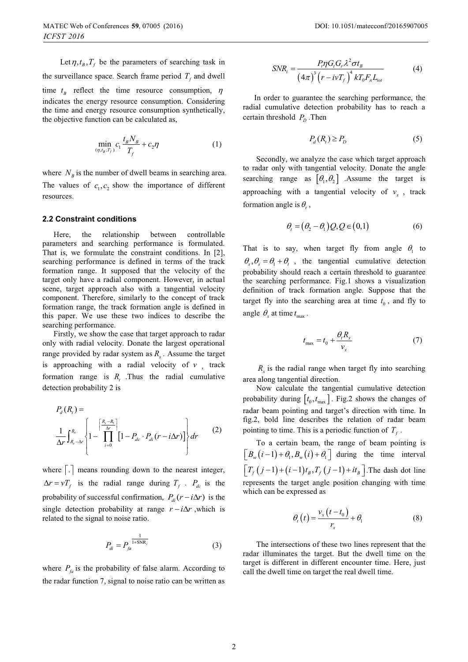Let  $\eta$ ,  $t_B$ ,  $T_f$  be the parameters of searching task in the surveillance space. Search frame period  $T_f$  and dwell time  $t_B$  reflect the time resource consumption,  $\eta$ indicates the energy resource consumption. Considering the time and energy resource consumption synthetically, the objective function can be calculated as,

$$
\min_{(\eta, t_B, T_f)} c_1 \frac{t_B N_B}{T_f} + c_2 \eta \tag{1}
$$

where  $N_B$  is the number of dwell beams in searching area. The values of  $c_1, c_2$  show the importance of different resources.

#### **2.2 Constraint conditions**

Here, the relationship between controllable parameters and searching performance is formulated. That is, we formulate the constraint conditions. In [2], searching performance is defined in terms of the track formation range. It supposed that the velocity of the target only have a radial component. However, in actual scene, target approach also with a tangential velocity component. Therefore, similarly to the concept of track formation range, the track formation angle is defined in this paper. We use these two indices to describe the searching performance.

Firstly, we show the case that target approach to radar only with radial velocity. Donate the largest operational range provided by radar system as  $R_s$ . Assume the target is approaching with a radial velocity of *v* , track formation range is  $R<sub>t</sub>$ . Thus the radial cumulative detection probability 2 is

$$
P_d(R_t) = \frac{1}{\Delta r} \int_{R_s - \Delta r}^{R_s} \left\{ 1 - \prod_{i=0}^{\left\lceil \frac{R_s - R_t}{\Delta r} \right\rceil} \left[ 1 - P_{dc} \cdot P_{di}(r - i\Delta r) \right] \right\} dr \tag{2}
$$

where  $\lceil . \rceil$  means rounding down to the nearest integer,  $\Delta r = vT_f$  is the radial range during  $T_f$ .  $P_{dc}$  is the probability of successful confirmation,  $P_{di}(r - i\Delta r)$  is the single detection probability at range  $r - i\Delta r$ , which is related to the signal to noise ratio.

$$
P_{di} = P_{fa}^{\frac{1}{1+SNR_i}}
$$
 (3)

where  $P_{fa}$  is the probability of false alarm. According to the radar function 7, signal to noise ratio can be written as

$$
SNR_i = \frac{P_i \eta G_i G_r \lambda^2 \sigma t_B}{\left(4\pi\right)^3 \left(r - i v T_f\right)^4 k T_0 F_n L_{tot}}
$$
(4)

In order to guarantee the searching performance, the radial cumulative detection probability has to reach a certain threshold  $P<sub>D</sub>$ . Then

$$
P_d(R_t) \ge P_D \tag{5}
$$

 Secondly, we analyze the case which target approach to radar only with tangential velocity. Donate the angle searching range as  $\left[\theta_1, \theta_2\right]$  . Assume the target is approaching with a tangential velocity of  $v_x$ , track formation angle is  $\theta$ ,

$$
\theta_i = (\theta_2 - \theta_1) Q, Q \in (0,1)
$$
\n<sup>(6)</sup>

That is to say, when target fly from angle  $\theta_1$  to  $\theta_s$ ,  $\theta_s = \theta_1 + \theta_2$ , the tangential cumulative detection probability should reach a certain threshold to guarantee the searching performance. Fig.1 shows a visualization definition of track formation angle. Suppose that the target fly into the searching area at time  $t_0$ , and fly to angle  $\theta_s$  at time  $t_{\text{max}}$ .

$$
t_{\text{max}} = t_0 + \frac{\theta_t R_x}{v_x} \tag{7}
$$

 $R<sub>x</sub>$  is the radial range when target fly into searching area along tangential direction.

 Now calculate the tangential cumulative detection probability during  $[t_0, t_{\text{max}}]$ . Fig.2 shows the changes of radar beam pointing and target's direction with time. In fig.2, bold line describes the relation of radar beam pointing to time. This is a periodic function of  $T<sub>f</sub>$ .

 To a certain beam, the range of beam pointing is  $\left[ B_w(i-1) + \theta_1, B_w(i) + \theta_1 \right]$  during the time interval  $\left[T_f(j-1)+(i-1)t_B, T_f(j-1)+it_B\right]$ . The dash dot line represents the target angle position changing with time which can be expressed as

$$
\theta_t(t) = \frac{v_x(t - t_0)}{r_x} + \theta_1 \tag{8}
$$

 The intersections of these two lines represent that the radar illuminates the target. But the dwell time on the target is different in different encounter time. Here, just call the dwell time on target the real dwell time.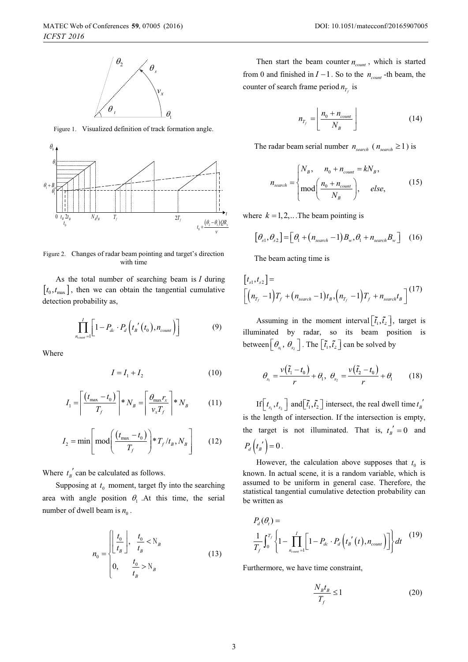

Figure 1. Visualized definition of track formation angle.



Figure 2. Changes of radar beam pointing and target's direction with time

 As the total number of searching beam is *I* during  $[t_0, t_{\text{max}}]$ , then we can obtain the tangential cumulative detection probability as,

$$
\prod_{n_{\text{count}}=1}^{I} \bigg[1 - P_{dc} \cdot P_{d}\left(t_{B}^{'}\left(t_{0}\right), n_{\text{count}}\right)\bigg] \tag{9}
$$

Where

$$
I = I_1 + I_2 \tag{10}
$$

$$
I_1 = \left\lceil \frac{\left(t_{\text{max}} - t_0\right)}{T_f} \right\rceil * N_B = \left\lceil \frac{\theta_{\text{max}} r_x}{v_x T_f} \right\rceil * N_B \tag{11}
$$

$$
I_2 = \min\left[\bmod\left(\frac{(t_{\text{max}} - t_0)}{T_f}\right) * T_f / t_B, N_B\right] \tag{12}
$$

Where  $t_{B}^{\prime}$  can be calculated as follows.

Supposing at  $t_0$  moment, target fly into the searching area with angle position  $\theta_1$ . At this time, the serial number of dwell beam is  $n_0$ .

$$
n_0 = \begin{cases} \left\lfloor \frac{t_0}{t_B} \right\rfloor, & \frac{t_0}{t_B} < N_B\\ 0, & \frac{t_0}{t_B} > N_B \end{cases} \tag{13}
$$

Then start the beam counter  $n_{count}$ , which is started from 0 and finished in  $I-1$ . So to the  $n_{count}$ -th beam, the counter of search frame period  $n_{T_c}$  is

$$
n_{T_f} = \left\lfloor \frac{n_0 + n_{count}}{N_B} \right\rfloor \tag{14}
$$

The radar beam serial number  $n_{search}$  ( $n_{search} \ge 1$ ) is

$$
n_{search} = \begin{cases} N_B, & n_0 + n_{count} = kN_B, \\ \text{mod} \left( \frac{n_0 + n_{count}}{N_B} \right), & else, \end{cases}
$$
 (15)

where  $k = 1, 2, \dots$ . The beam pointing is

$$
\left[\theta_{s1},\theta_{s2}\right] = \left[\theta_1 + \left(n_{search} - 1\right)B_w, \theta_1 + n_{search}B_w\right] \quad (16)
$$

The beam acting time is

$$
\begin{aligned} \left[t_{s1}, t_{s2}\right] &= \\ \left[\left(n_{T_f} - 1\right)T_f + \left(n_{search} - 1\right)t_B, \left(n_{T_f} - 1\right)T_f + n_{search}t_B\right] \end{aligned} \tag{17}
$$

Assuming in the moment interval  $\lceil \tilde{t}_1, \tilde{t}_2 \rceil$ , target is illuminated by radar, so its beam position is between  $\left[\theta_{s_1}, \theta_{s_2}\right]$ . The  $\left[\tilde{t}_1, \tilde{t}_2\right]$  can be solved by

$$
\theta_{s_1} = \frac{v(\tilde{t}_1 - t_0)}{r} + \theta_1, \ \theta_{s_2} = \frac{v(\tilde{t}_2 - t_0)}{r} + \theta_1 \qquad (18)
$$

If  $[t_{s_1}, t_{s_2}]$  and  $[\tilde{t}_1, \tilde{t}_2]$  intersect, the real dwell time  $t_B$ <sup>'</sup> is the length of intersection. If the intersection is empty, the target is not illuminated. That is,  $t_B' = 0$  and  $P_{d}\left(t_{B}^{'}\right)=0$ .

However, the calculation above supposes that  $t_0$  is known. In actual scene, it is a random variable, which is assumed to be uniform in general case. Therefore, the statistical tangential cumulative detection probability can be written as

$$
P_d(\theta_t) = \frac{1}{T_f} \int_0^{T_f} \left\{ 1 - \prod_{n_{count}=1}^l \left[ 1 - P_{dc} \cdot P_d \left( t_{B}^{'}(t), n_{count} \right) \right] \right\} dt \quad (19)
$$

Furthermore, we have time constraint,

$$
\frac{N_{B}t_{B}}{T_{f}} \le 1\tag{20}
$$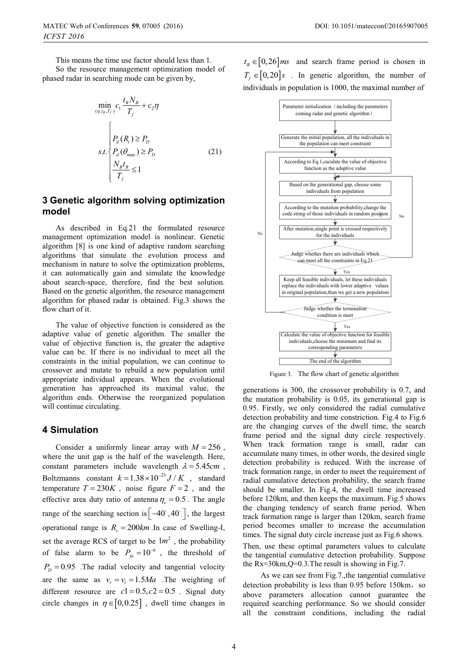This means the time use factor should less than 1. So the resource management optimization model of phased radar in searching mode can be given by,

$$
\min_{(\eta, t_B, T_f)} c_1 \frac{t_B N_B}{T_f} + c_2 \eta
$$
\n
$$
s.t. \begin{cases}\nP_d(R_t) \ge P_D \\
P_d(\theta_{\text{max}}) \ge P_D \\
\frac{N_B t_B}{T_f} \le 1\n\end{cases}
$$
\n(21)

# **3 Genetic algorithm solving optimization model**

 As described in Eq.21 the formulated resource management optimization model is nonlinear. Genetic algorithm [8] is one kind of adaptive random searching algorithms that simulate the evolution process and mechanism in nature to solve the optimization problems, it can automatically gain and simulate the knowledge about search-space, therefore, find the best solution. Based on the genetic algorithm, the resource management algorithm for phased radar is obtained. Fig.3 shows the flow chart of it.

 The value of objective function is considered as the adaptive value of genetic algorithm. The smaller the value of objective function is, the greater the adaptive value can be. If there is no individual to meet all the constraints in the initial population, we can continue to crossover and mutate to rebuild a new population until appropriate individual appears. When the evolutional generation has approached its maximal value, the algorithm ends. Otherwise the reorganized population will continue circulating.

### **4 Simulation**

Consider a uniformly linear array with  $M = 256$ , where the unit gap is the half of the wavelength. Here, constant parameters include wavelength  $\lambda = 5.45$ *cm*, Boltzmanns constant  $k = 1.38 \times 10^{-23} J/K$ , standard temperature  $T = 230K$ , noise figure  $F = 2$ , and the effective area duty ratio of antenna  $\eta_e = 0.5$ . The angle range of the searching section is  $\left[-40^\circ, 40^\circ\right]$ , the largest operational range is  $R_s = 200$ *km*. In case of Swelling-I, set the average RCS of target to be  $1m^2$ , the probability of false alarm to be  $P_{fa} = 10^{-6}$ , the threshold of  $P_D = 0.95$  .The radial velocity and tangential velocity are the same as  $v_r = v_t = 1.5 Ma$ . The weighting of different resource are  $c = 0.5$ ,  $c = 0.5$ . Signal duty circle changes in  $\eta \in [0, 0.25]$ , dwell time changes in

 $t_B \in [0,26]$  *ms* and search frame period is chosen in  $T_f \in [0,20]$  *s*. In genetic algorithm, the number of individuals in population is 1000, the maximal number of



Figure 3. The flow chart of genetic algorithm

generations is 300, the crossover probability is 0.7, and the mutation probability is 0.05, its generational gap is 0.95. Firstly, we only considered the radial cumulative detection probability and time constriction. Fig.4 to Fig.6 are the changing curves of the dwell time, the search frame period and the signal duty circle respectively. When track formation range is small, radar can accumulate many times, in other words, the desired single detection probability is reduced. With the increase of track formation range, in order to meet the requirement of radial cumulative detection probability, the search frame should be smaller. In Fig.4, the dwell time increased before 120km, and then keeps the maximum. Fig.5 shows the changing tendency of search frame period. When track formation range is larger than 120km, search frame period becomes smaller to increase the accumulation times. The signal duty circle increase just as Fig.6 shows.

Then, use these optimal parameters values to calculate the tangential cumulative detection probability. Suppose the  $Rx=30km, Q=0.3$ . The result is showing in Fig.7.

As we can see from Fig.7.,the tangential cumulative detection probability is less than 0.95 before 150km, so above parameters allocation cannot guarantee the required searching performance. So we should consider all the constraint conditions, including the radial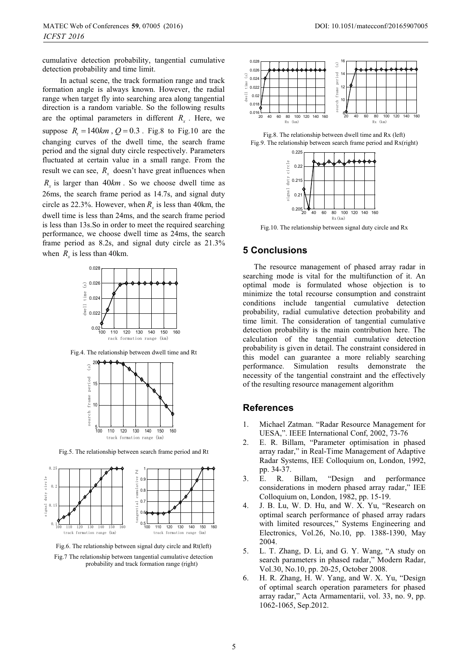cumulative detection probability, tangential cumulative detection probability and time limit.

In actual scene, the track formation range and track formation angle is always known. However, the radial range when target fly into searching area along tangential direction is a random variable. So the following results are the optimal parameters in different  $R_{r}$ . Here, we suppose  $R<sub>t</sub> = 140$ *km*,  $Q = 0.3$ . Fig.8 to Fig.10 are the changing curves of the dwell time, the search frame period and the signal duty circle respectively. Parameters fluctuated at certain value in a small range. From the result we can see,  $R<sub>r</sub>$  doesn't have great influences when  $R<sub>x</sub>$  is larger than  $40km$ . So we choose dwell time as 26ms, the search frame period as 14.7s, and signal duty circle as 22.3%. However, when  $R_{\nu}$  is less than 40km, the dwell time is less than 24ms, and the search frame period is less than 13s.So in order to meet the required searching performance, we choose dwell time as 24ms, the search frame period as 8.2s, and signal duty circle as 21.3% when  $R_{\nu}$  is less than 40km.



Fig.4. The relationship between dwell time and Rt



Fig.5. The relationship between search frame period and Rt



Fig.6. The relationship between signal duty circle and Rt(left) Fig.7 The relationship between tangential cumulative detection probability and track formation range (right)



Fig.8. The relationship between dwell time and Rx (left) Fig.9. The relationship between search frame period and Rx(right)



Fig.10. The relationship between signal duty circle and Rx

### **5 Conclusions**

The resource management of phased array radar in searching mode is vital for the multifunction of it. An optimal mode is formulated whose objection is to minimize the total recourse consumption and constraint conditions include tangential cumulative detection probability, radial cumulative detection probability and time limit. The consideration of tangential cumulative detection probability is the main contribution here. The calculation of the tangential cumulative detection probability is given in detail. The constraint considered in this model can guarantee a more reliably searching performance. Simulation results demonstrate the necessity of the tangential constraint and the effectively of the resulting resource management algorithm

### **References**

- 1. Michael Zatman. "Radar Resource Management for UESA,". IEEE International Conf, 2002, 73-76
- 2. E. R. Billam, "Parameter optimisation in phased array radar," in Real-Time Management of Adaptive Radar Systems, IEE Colloquium on, London, 1992, pp. 34-37.
- 3. E. R. Billam, "Design and performance considerations in modern phased array radar," IEE Colloquium on, London, 1982, pp. 15-19.
- 4. J. B. Lu, W. D. Hu, and W. X. Yu, "Research on optimal search performance of phased array radars with limited resources," Systems Engineering and Electronics, Vol.26, No.10, pp. 1388-1390, May 2004.
- 5. L. T. Zhang, D. Li, and G. Y. Wang, "A study on search parameters in phased radar," Modern Radar, Vol.30, No.10, pp. 20-25, October 2008.
- 6. H. R. Zhang, H. W. Yang, and W. X. Yu, "Design of optimal search operation parameters for phased array radar," Acta Armamentarii, vol. 33, no. 9, pp. 1062-1065, Sep.2012.